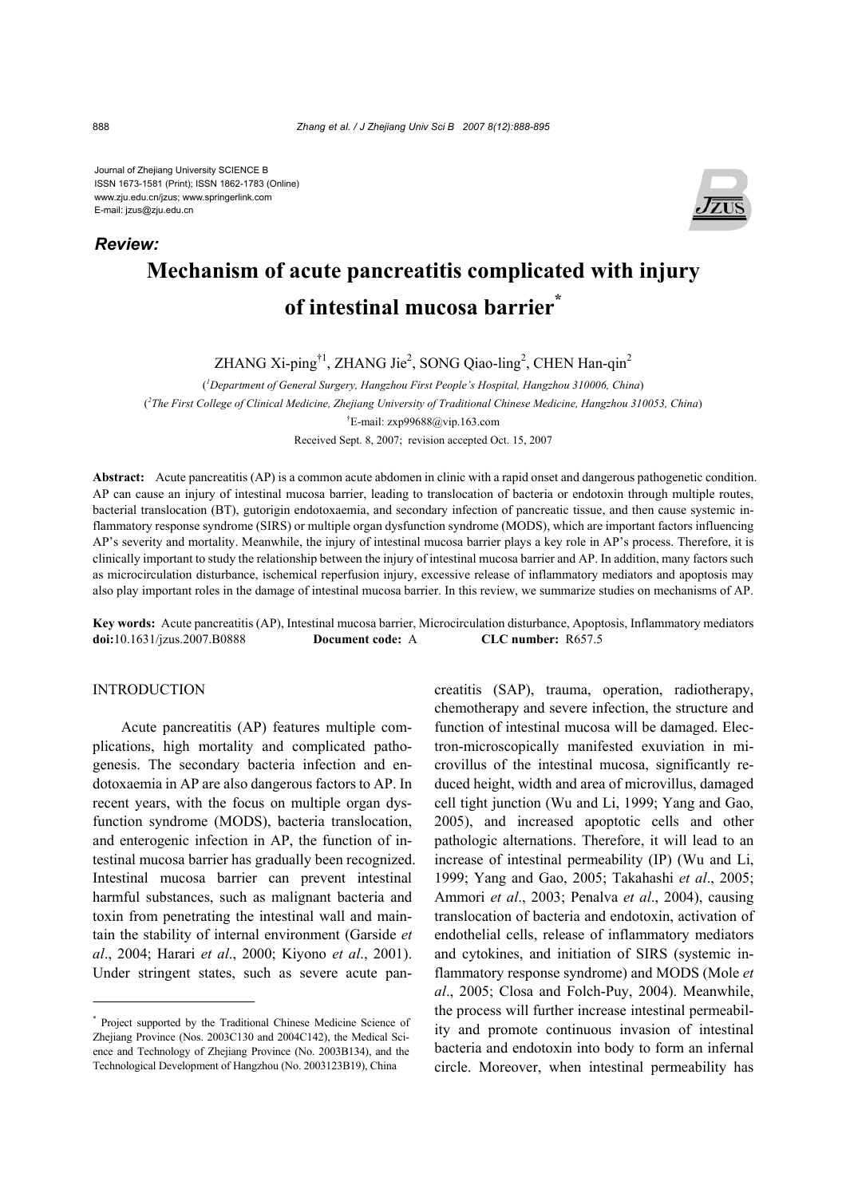Journal of Zhejiang University SCIENCE B ISSN 1673-1581 (Print); ISSN 1862-1783 (Online) www.zju.edu.cn/jzus; www.springerlink.com E-mail: jzus@zju.edu.cn



# **Mechanism of acute pancreatitis complicated with injury of intestinal mucosa barrier\***

ZHANG Xi-ping<sup>†1</sup>, ZHANG Jie<sup>2</sup>, SONG Qiao-ling<sup>2</sup>, CHEN Han-qin<sup>2</sup>

( *1 Department of General Surgery, Hangzhou First People's Hospital, Hangzhou 310006, China*) ( *2 The First College of Clinical Medicine, Zhejiang University of Traditional Chinese Medicine, Hangzhou 310053, China*) † E-mail: zxp99688@vip.163.com

Received Sept. 8, 2007; revision accepted Oct. 15, 2007

**Abstract:** Acute pancreatitis (AP) is a common acute abdomen in clinic with a rapid onset and dangerous pathogenetic condition. AP can cause an injury of intestinal mucosa barrier, leading to translocation of bacteria or endotoxin through multiple routes, bacterial translocation (BT), gutorigin endotoxaemia, and secondary infection of pancreatic tissue, and then cause systemic inflammatory response syndrome (SIRS) or multiple organ dysfunction syndrome (MODS), which are important factors influencing AP's severity and mortality. Meanwhile, the injury of intestinal mucosa barrier plays a key role in AP's process. Therefore, it is clinically important to study the relationship between the injury of intestinal mucosa barrier and AP. In addition, many factors such as microcirculation disturbance, ischemical reperfusion injury, excessive release of inflammatory mediators and apoptosis may also play important roles in the damage of intestinal mucosa barrier. In this review, we summarize studies on mechanisms of AP.

**Key words:** Acute pancreatitis (AP), Intestinal mucosa barrier, Microcirculation disturbance, Apoptosis, Inflammatory mediators **doi:**10.1631/jzus.2007.B0888 **Document code:** A **CLC number:** R657.5

#### INTRODUCTION

Acute pancreatitis (AP) features multiple complications, high mortality and complicated pathogenesis. The secondary bacteria infection and endotoxaemia in AP are also dangerous factors to AP. In recent years, with the focus on multiple organ dysfunction syndrome (MODS), bacteria translocation, and enterogenic infection in AP, the function of intestinal mucosa barrier has gradually been recognized. Intestinal mucosa barrier can prevent intestinal harmful substances, such as malignant bacteria and toxin from penetrating the intestinal wall and maintain the stability of internal environment (Garside *et al*., 2004; Harari *et al*., 2000; Kiyono *et al*., 2001). Under stringent states, such as severe acute pancreatitis (SAP), trauma, operation, radiotherapy, chemotherapy and severe infection, the structure and function of intestinal mucosa will be damaged. Electron-microscopically manifested exuviation in microvillus of the intestinal mucosa, significantly reduced height, width and area of microvillus, damaged cell tight junction (Wu and Li, 1999; Yang and Gao, 2005), and increased apoptotic cells and other pathologic alternations. Therefore, it will lead to an increase of intestinal permeability (IP) (Wu and Li, 1999; Yang and Gao, 2005; Takahashi *et al*., 2005; Ammori *et al*., 2003; Penalva *et al*., 2004), causing translocation of bacteria and endotoxin, activation of endothelial cells, release of inflammatory mediators and cytokines, and initiation of SIRS (systemic inflammatory response syndrome) and MODS (Mole *et al*., 2005; Closa and Folch-Puy, 2004). Meanwhile, the process will further increase intestinal permeability and promote continuous invasion of intestinal bacteria and endotoxin into body to form an infernal circle. Moreover, when intestinal permeability has

*Review:*

<sup>\*</sup> Project supported by the Traditional Chinese Medicine Science of Zhejiang Province (Nos. 2003C130 and 2004C142), the Medical Science and Technology of Zhejiang Province (No. 2003B134), and the Technological Development of Hangzhou (No. 2003123B19), China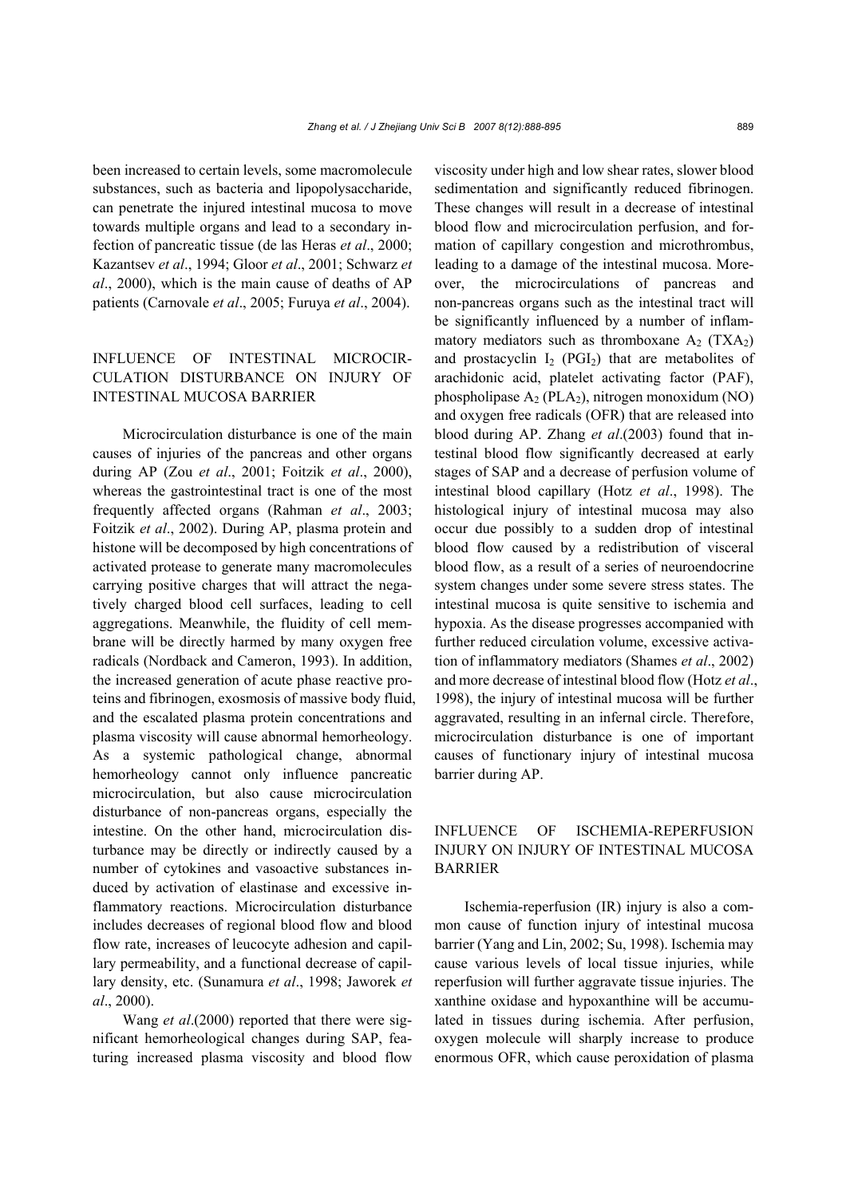been increased to certain levels, some macromolecule substances, such as bacteria and lipopolysaccharide, can penetrate the injured intestinal mucosa to move towards multiple organs and lead to a secondary infection of pancreatic tissue (de las Heras *et al*., 2000; Kazantsev *et al*., 1994; Gloor *et al*., 2001; Schwarz *et al*., 2000), which is the main cause of deaths of AP patients (Carnovale *et al*., 2005; Furuya *et al*., 2004).

## INFLUENCE OF INTESTINAL MICROCIR-CULATION DISTURBANCE ON INJURY OF INTESTINAL MUCOSA BARRIER

Microcirculation disturbance is one of the main causes of injuries of the pancreas and other organs during AP (Zou *et al*., 2001; Foitzik *et al*., 2000), whereas the gastrointestinal tract is one of the most frequently affected organs (Rahman *et al*., 2003; Foitzik *et al*., 2002). During AP, plasma protein and histone will be decomposed by high concentrations of activated protease to generate many macromolecules carrying positive charges that will attract the negatively charged blood cell surfaces, leading to cell aggregations. Meanwhile, the fluidity of cell membrane will be directly harmed by many oxygen free radicals (Nordback and Cameron, 1993). In addition, the increased generation of acute phase reactive proteins and fibrinogen, exosmosis of massive body fluid, and the escalated plasma protein concentrations and plasma viscosity will cause abnormal hemorheology. As a systemic pathological change, abnormal hemorheology cannot only influence pancreatic microcirculation, but also cause microcirculation disturbance of non-pancreas organs, especially the intestine. On the other hand, microcirculation disturbance may be directly or indirectly caused by a number of cytokines and vasoactive substances induced by activation of elastinase and excessive inflammatory reactions. Microcirculation disturbance includes decreases of regional blood flow and blood flow rate, increases of leucocyte adhesion and capillary permeability, and a functional decrease of capillary density, etc. (Sunamura *et al*., 1998; Jaworek *et al*., 2000).

Wang *et al*.(2000) reported that there were significant hemorheological changes during SAP, featuring increased plasma viscosity and blood flow viscosity under high and low shear rates, slower blood sedimentation and significantly reduced fibrinogen. These changes will result in a decrease of intestinal blood flow and microcirculation perfusion, and formation of capillary congestion and microthrombus, leading to a damage of the intestinal mucosa. Moreover, the microcirculations of pancreas and non-pancreas organs such as the intestinal tract will be significantly influenced by a number of inflammatory mediators such as thromboxane  $A_2$  (TXA<sub>2</sub>) and prostacyclin  $I_2$  (PGI<sub>2</sub>) that are metabolites of arachidonic acid, platelet activating factor (PAF), phospholipase  $A_2$  (PLA<sub>2</sub>), nitrogen monoxidum (NO) and oxygen free radicals (OFR) that are released into blood during AP. Zhang *et al*.(2003) found that intestinal blood flow significantly decreased at early stages of SAP and a decrease of perfusion volume of intestinal blood capillary (Hotz *et al*., 1998). The histological injury of intestinal mucosa may also occur due possibly to a sudden drop of intestinal blood flow caused by a redistribution of visceral blood flow, as a result of a series of neuroendocrine system changes under some severe stress states. The intestinal mucosa is quite sensitive to ischemia and hypoxia. As the disease progresses accompanied with further reduced circulation volume, excessive activation of inflammatory mediators (Shames *et al*., 2002) and more decrease of intestinal blood flow (Hotz *et al*., 1998), the injury of intestinal mucosa will be further aggravated, resulting in an infernal circle. Therefore, microcirculation disturbance is one of important causes of functionary injury of intestinal mucosa barrier during AP.

## INFLUENCE OF ISCHEMIA-REPERFUSION INJURY ON INJURY OF INTESTINAL MUCOSA BARRIER

Ischemia-reperfusion (IR) injury is also a common cause of function injury of intestinal mucosa barrier (Yang and Lin, 2002; Su, 1998). Ischemia may cause various levels of local tissue injuries, while reperfusion will further aggravate tissue injuries. The xanthine oxidase and hypoxanthine will be accumulated in tissues during ischemia. After perfusion, oxygen molecule will sharply increase to produce enormous OFR, which cause peroxidation of plasma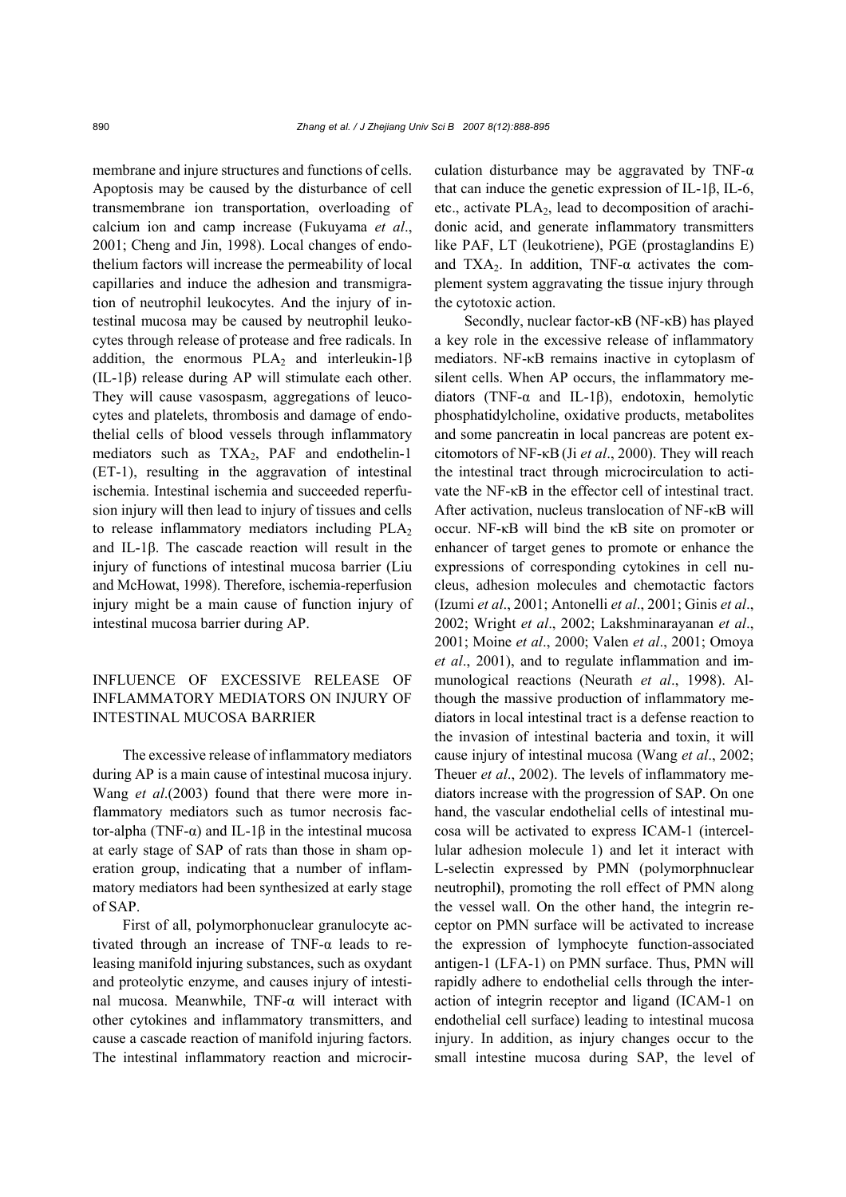membrane and injure structures and functions of cells. Apoptosis may be caused by the disturbance of cell transmembrane ion transportation, overloading of calcium ion and camp increase (Fukuyama *et al*., 2001; Cheng and Jin, 1998). Local changes of endothelium factors will increase the permeability of local capillaries and induce the adhesion and transmigration of neutrophil leukocytes. And the injury of intestinal mucosa may be caused by neutrophil leukocytes through release of protease and free radicals. In addition, the enormous PLA<sub>2</sub> and interleukin-1 $\beta$ (IL-1β) release during AP will stimulate each other. They will cause vasospasm, aggregations of leucocytes and platelets, thrombosis and damage of endothelial cells of blood vessels through inflammatory mediators such as TXA<sub>2</sub>, PAF and endothelin-1 (ET-1), resulting in the aggravation of intestinal ischemia. Intestinal ischemia and succeeded reperfusion injury will then lead to injury of tissues and cells to release inflammatory mediators including  $PLA<sub>2</sub>$ and IL-1β. The cascade reaction will result in the injury of functions of intestinal mucosa barrier (Liu and McHowat, 1998). Therefore, ischemia-reperfusion injury might be a main cause of function injury of intestinal mucosa barrier during AP.

# INFLUENCE OF EXCESSIVE RELEASE OF INFLAMMATORY MEDIATORS ON INJURY OF INTESTINAL MUCOSA BARRIER

The excessive release of inflammatory mediators during AP is a main cause of intestinal mucosa injury. Wang *et al*.(2003) found that there were more inflammatory mediators such as tumor necrosis factor-alpha (TNF-α) and IL-1β in the intestinal mucosa at early stage of SAP of rats than those in sham operation group, indicating that a number of inflammatory mediators had been synthesized at early stage of SAP.

First of all, polymorphonuclear granulocyte activated through an increase of TNF-α leads to releasing manifold injuring substances, such as oxydant and proteolytic enzyme, and causes injury of intestinal mucosa. Meanwhile, TNF-α will interact with other cytokines and inflammatory transmitters, and cause a cascade reaction of manifold injuring factors. The intestinal inflammatory reaction and microcirculation disturbance may be aggravated by TNF- $\alpha$ that can induce the genetic expression of IL-1β, IL-6, etc., activate PLA2, lead to decomposition of arachidonic acid, and generate inflammatory transmitters like PAF, LT (leukotriene), PGE (prostaglandins E) and TXA<sub>2</sub>. In addition, TNF- $\alpha$  activates the complement system aggravating the tissue injury through the cytotoxic action.

Secondly, nuclear factor-κB (NF-κB) has played a key role in the excessive release of inflammatory mediators. NF-κB remains inactive in cytoplasm of silent cells. When AP occurs, the inflammatory mediators (TNF-α and IL-1β), endotoxin, hemolytic phosphatidylcholine, oxidative products, metabolites and some pancreatin in local pancreas are potent excitomotors of NF-κB (Ji *et al*., 2000). They will reach the intestinal tract through microcirculation to activate the NF-κB in the effector cell of intestinal tract. After activation, nucleus translocation of NF-κB will occur. NF-κB will bind the κB site on promoter or enhancer of target genes to promote or enhance the expressions of corresponding cytokines in cell nucleus, adhesion molecules and chemotactic factors (Izumi *et al*., 2001; Antonelli *et al*., 2001; Ginis *et al*., 2002; Wright *et al*., 2002; Lakshminarayanan *et al*., 2001; Moine *et al*., 2000; Valen *et al*., 2001; Omoya *et al*., 2001), and to regulate inflammation and immunological reactions (Neurath *et al*., 1998). Although the massive production of inflammatory mediators in local intestinal tract is a defense reaction to the invasion of intestinal bacteria and toxin, it will cause injury of intestinal mucosa (Wang *et al*., 2002; Theuer *et al*., 2002). The levels of inflammatory mediators increase with the progression of SAP. On one hand, the vascular endothelial cells of intestinal mucosa will be activated to express ICAM-1 (intercellular adhesion molecule 1) and let it interact with L-selectin expressed by PMN (polymorphnuclear neutrophil**)**, promoting the roll effect of PMN along the vessel wall. On the other hand, the integrin receptor on PMN surface will be activated to increase the expression of lymphocyte function-associated antigen-1 (LFA-1) on PMN surface. Thus, PMN will rapidly adhere to endothelial cells through the interaction of integrin receptor and ligand (ICAM-1 on endothelial cell surface) leading to intestinal mucosa injury. In addition, as injury changes occur to the small intestine mucosa during SAP, the level of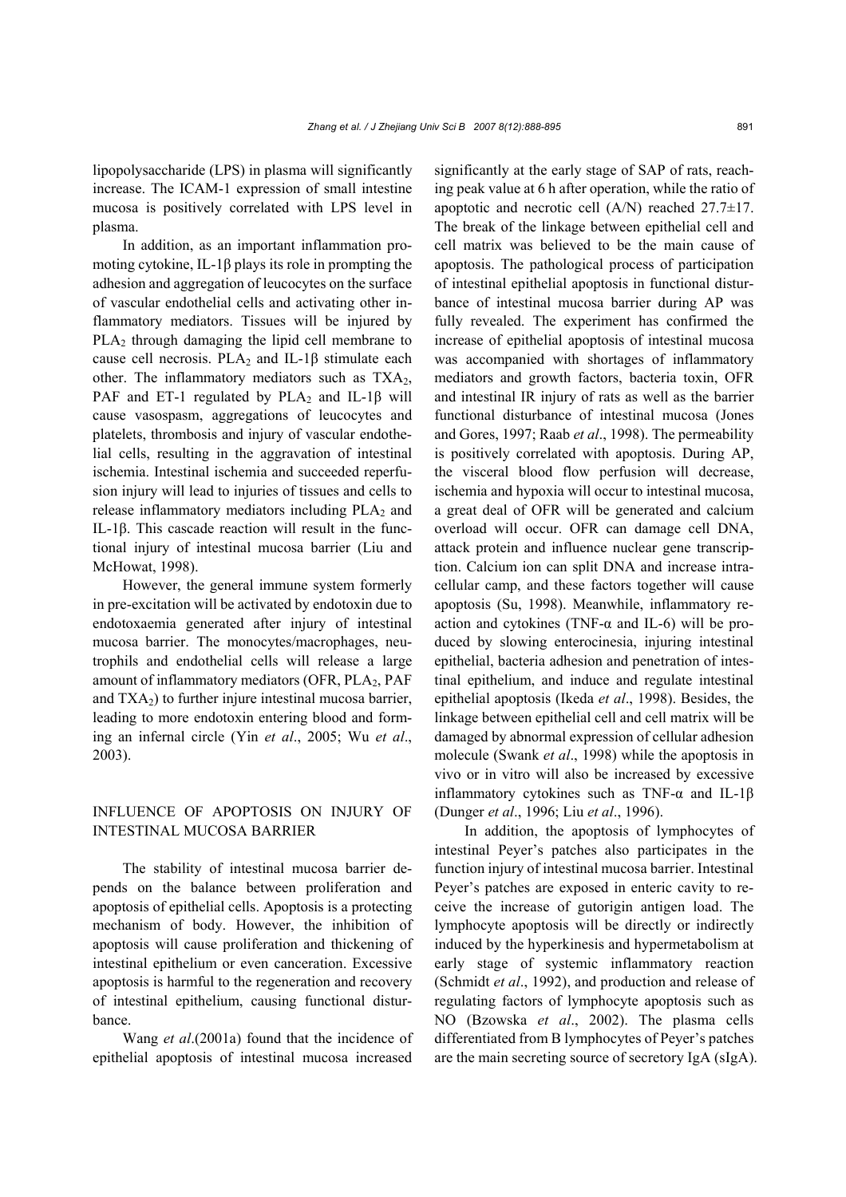lipopolysaccharide (LPS) in plasma will significantly increase. The ICAM-1 expression of small intestine mucosa is positively correlated with LPS level in plasma.

In addition, as an important inflammation promoting cytokine, IL-1β plays its role in prompting the adhesion and aggregation of leucocytes on the surface of vascular endothelial cells and activating other inflammatory mediators. Tissues will be injured by PLA<sub>2</sub> through damaging the lipid cell membrane to cause cell necrosis. PLA<sub>2</sub> and IL-1 $\beta$  stimulate each other. The inflammatory mediators such as  $TXA<sub>2</sub>$ , PAF and ET-1 regulated by PLA<sub>2</sub> and IL-1 $\beta$  will cause vasospasm, aggregations of leucocytes and platelets, thrombosis and injury of vascular endothelial cells, resulting in the aggravation of intestinal ischemia. Intestinal ischemia and succeeded reperfusion injury will lead to injuries of tissues and cells to release inflammatory mediators including  $PLA<sub>2</sub>$  and IL-1β. This cascade reaction will result in the functional injury of intestinal mucosa barrier (Liu and McHowat, 1998).

However, the general immune system formerly in pre-excitation will be activated by endotoxin due to endotoxaemia generated after injury of intestinal mucosa barrier. The monocytes/macrophages, neutrophils and endothelial cells will release a large amount of inflammatory mediators (OFR, PLA2, PAF and  $TXA_2$ ) to further injure intestinal mucosa barrier, leading to more endotoxin entering blood and forming an infernal circle (Yin *et al*., 2005; Wu *et al*., 2003).

### INFLUENCE OF APOPTOSIS ON INJURY OF INTESTINAL MUCOSA BARRIER

The stability of intestinal mucosa barrier depends on the balance between proliferation and apoptosis of epithelial cells. Apoptosis is a protecting mechanism of body. However, the inhibition of apoptosis will cause proliferation and thickening of intestinal epithelium or even canceration. Excessive apoptosis is harmful to the regeneration and recovery of intestinal epithelium, causing functional disturbance.

Wang *et al*.(2001a) found that the incidence of epithelial apoptosis of intestinal mucosa increased significantly at the early stage of SAP of rats, reaching peak value at 6 h after operation, while the ratio of apoptotic and necrotic cell (A/N) reached 27.7±17. The break of the linkage between epithelial cell and cell matrix was believed to be the main cause of apoptosis. The pathological process of participation of intestinal epithelial apoptosis in functional disturbance of intestinal mucosa barrier during AP was fully revealed. The experiment has confirmed the increase of epithelial apoptosis of intestinal mucosa was accompanied with shortages of inflammatory mediators and growth factors, bacteria toxin, OFR and intestinal IR injury of rats as well as the barrier functional disturbance of intestinal mucosa (Jones and Gores, 1997; Raab *et al*., 1998). The permeability is positively correlated with apoptosis. During AP, the visceral blood flow perfusion will decrease, ischemia and hypoxia will occur to intestinal mucosa, a great deal of OFR will be generated and calcium overload will occur. OFR can damage cell DNA, attack protein and influence nuclear gene transcription. Calcium ion can split DNA and increase intracellular camp, and these factors together will cause apoptosis (Su, 1998). Meanwhile, inflammatory reaction and cytokines (TNF- $\alpha$  and IL-6) will be produced by slowing enterocinesia, injuring intestinal epithelial, bacteria adhesion and penetration of intestinal epithelium, and induce and regulate intestinal epithelial apoptosis (Ikeda *et al*., 1998). Besides, the linkage between epithelial cell and cell matrix will be damaged by abnormal expression of cellular adhesion molecule (Swank *et al*., 1998) while the apoptosis in vivo or in vitro will also be increased by excessive inflammatory cytokines such as TNF-α and IL-1β (Dunger *et al*., 1996; Liu *et al*., 1996).

In addition, the apoptosis of lymphocytes of intestinal Peyer's patches also participates in the function injury of intestinal mucosa barrier. Intestinal Peyer's patches are exposed in enteric cavity to receive the increase of gutorigin antigen load. The lymphocyte apoptosis will be directly or indirectly induced by the hyperkinesis and hypermetabolism at early stage of systemic inflammatory reaction (Schmidt *et al*., 1992), and production and release of regulating factors of lymphocyte apoptosis such as NO (Bzowska *et al*., 2002). The plasma cells differentiated from B lymphocytes of Peyer's patches are the main secreting source of secretory IgA (sIgA).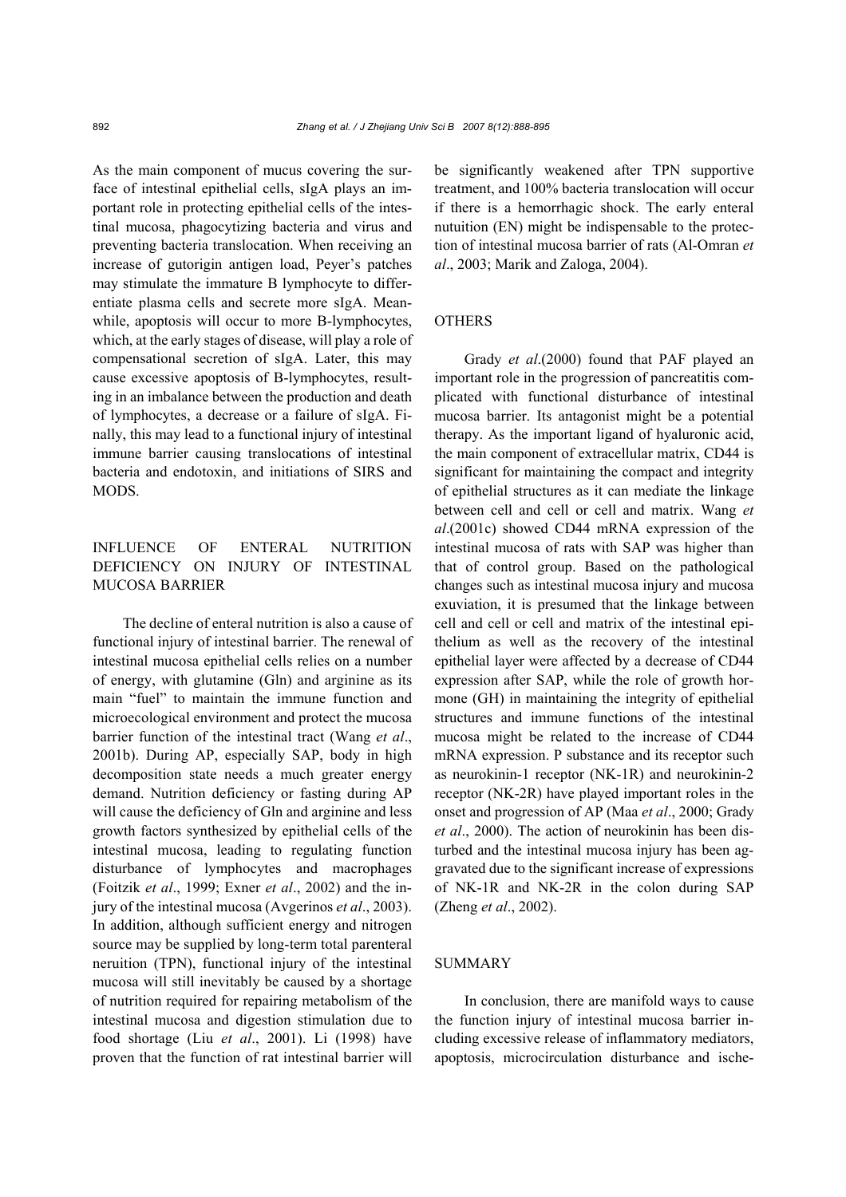As the main component of mucus covering the surface of intestinal epithelial cells, sIgA plays an important role in protecting epithelial cells of the intestinal mucosa, phagocytizing bacteria and virus and preventing bacteria translocation. When receiving an increase of gutorigin antigen load, Peyer's patches may stimulate the immature B lymphocyte to differentiate plasma cells and secrete more sIgA. Meanwhile, apoptosis will occur to more B-lymphocytes, which, at the early stages of disease, will play a role of compensational secretion of sIgA. Later, this may cause excessive apoptosis of B-lymphocytes, resulting in an imbalance between the production and death of lymphocytes, a decrease or a failure of sIgA. Finally, this may lead to a functional injury of intestinal immune barrier causing translocations of intestinal bacteria and endotoxin, and initiations of SIRS and MODS.

# INFLUENCE OF ENTERAL NUTRITION DEFICIENCY ON INJURY OF INTESTINAL MUCOSA BARRIER

The decline of enteral nutrition is also a cause of functional injury of intestinal barrier. The renewal of intestinal mucosa epithelial cells relies on a number of energy, with glutamine (Gln) and arginine as its main "fuel" to maintain the immune function and microecological environment and protect the mucosa barrier function of the intestinal tract (Wang *et al*., 2001b). During AP, especially SAP, body in high decomposition state needs a much greater energy demand. Nutrition deficiency or fasting during AP will cause the deficiency of Gln and arginine and less growth factors synthesized by epithelial cells of the intestinal mucosa, leading to regulating function disturbance of lymphocytes and macrophages (Foitzik *et al*., 1999; Exner *et al*., 2002) and the injury of the intestinal mucosa (Avgerinos *et al*., 2003). In addition, although sufficient energy and nitrogen source may be supplied by long-term total parenteral neruition (TPN), functional injury of the intestinal mucosa will still inevitably be caused by a shortage of nutrition required for repairing metabolism of the intestinal mucosa and digestion stimulation due to food shortage (Liu *et al*., 2001). Li (1998) have proven that the function of rat intestinal barrier will be significantly weakened after TPN supportive treatment, and 100% bacteria translocation will occur if there is a hemorrhagic shock. The early enteral nutuition (EN) might be indispensable to the protection of intestinal mucosa barrier of rats (Al-Omran *et al*., 2003; Marik and Zaloga, 2004).

#### **OTHERS**

Grady *et al*.(2000) found that PAF played an important role in the progression of pancreatitis complicated with functional disturbance of intestinal mucosa barrier. Its antagonist might be a potential therapy. As the important ligand of hyaluronic acid, the main component of extracellular matrix, CD44 is significant for maintaining the compact and integrity of epithelial structures as it can mediate the linkage between cell and cell or cell and matrix. Wang *et al*.(2001c) showed CD44 mRNA expression of the intestinal mucosa of rats with SAP was higher than that of control group. Based on the pathological changes such as intestinal mucosa injury and mucosa exuviation, it is presumed that the linkage between cell and cell or cell and matrix of the intestinal epithelium as well as the recovery of the intestinal epithelial layer were affected by a decrease of CD44 expression after SAP, while the role of growth hormone (GH) in maintaining the integrity of epithelial structures and immune functions of the intestinal mucosa might be related to the increase of CD44 mRNA expression. P substance and its receptor such as neurokinin-1 receptor (NK-1R) and neurokinin-2 receptor (NK-2R) have played important roles in the onset and progression of AP (Maa *et al*., 2000; Grady *et al*., 2000). The action of neurokinin has been disturbed and the intestinal mucosa injury has been aggravated due to the significant increase of expressions of NK-1R and NK-2R in the colon during SAP (Zheng *et al*., 2002).

#### SUMMARY

In conclusion, there are manifold ways to cause the function injury of intestinal mucosa barrier including excessive release of inflammatory mediators, apoptosis, microcirculation disturbance and ische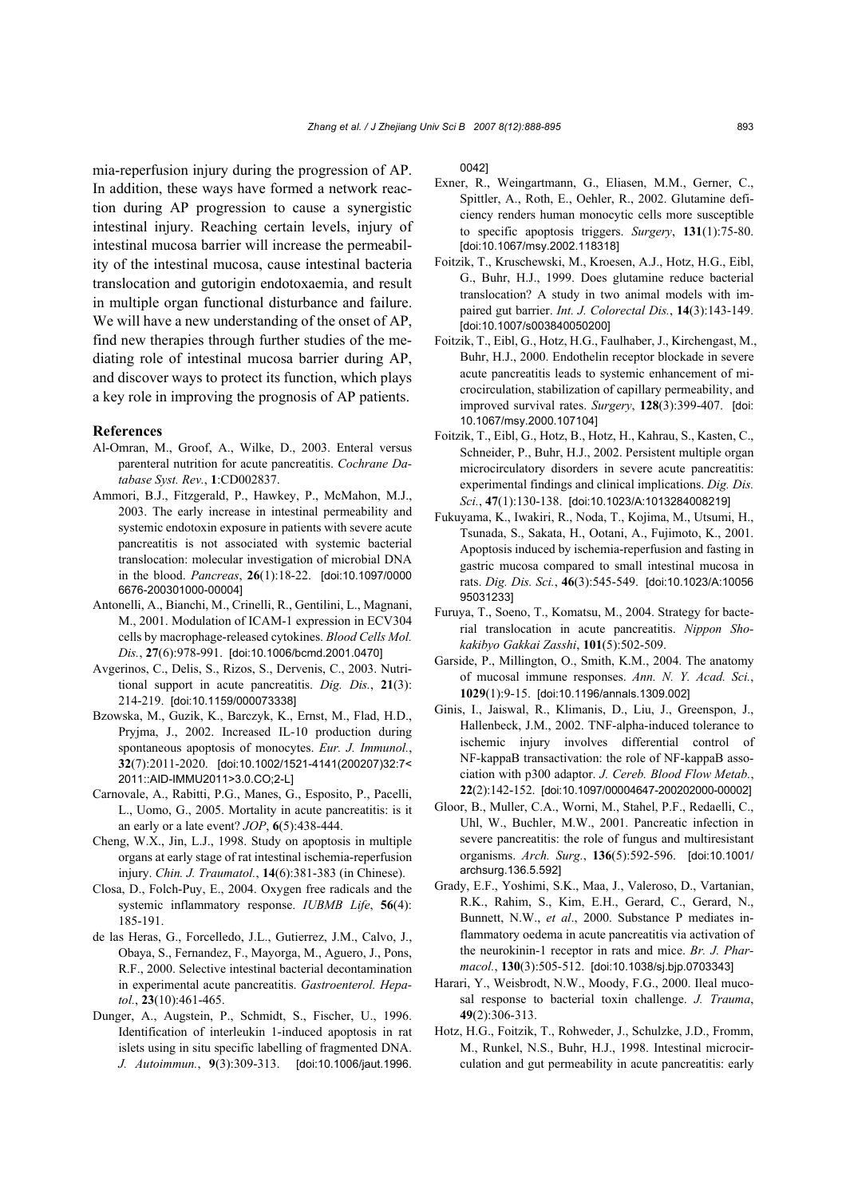mia-reperfusion injury during the progression of AP. In addition, these ways have formed a network reaction during AP progression to cause a synergistic intestinal injury. Reaching certain levels, injury of intestinal mucosa barrier will increase the permeability of the intestinal mucosa, cause intestinal bacteria translocation and gutorigin endotoxaemia, and result in multiple organ functional disturbance and failure. We will have a new understanding of the onset of AP, find new therapies through further studies of the mediating role of intestinal mucosa barrier during AP, and discover ways to protect its function, which plays a key role in improving the prognosis of AP patients.

#### **References**

- Al-Omran, M., Groof, A., Wilke, D., 2003. Enteral versus parenteral nutrition for acute pancreatitis. *Cochrane Database Syst. Rev.*, **1**:CD002837.
- Ammori, B.J., Fitzgerald, P., Hawkey, P., McMahon, M.J., 2003. The early increase in intestinal permeability and systemic endotoxin exposure in patients with severe acute pancreatitis is not associated with systemic bacterial translocation: molecular investigation of microbial DNA in the blood. *Pancreas*, **26**(1):18-22. [doi:10.1097/0000 6676-200301000-00004]
- Antonelli, A., Bianchi, M., Crinelli, R., Gentilini, L., Magnani, M., 2001. Modulation of ICAM-1 expression in ECV304 cells by macrophage-released cytokines. *Blood Cells Mol. Dis.*, **27**(6):978-991. [doi:10.1006/bcmd.2001.0470]
- Avgerinos, C., Delis, S., Rizos, S., Dervenis, C., 2003. Nutritional support in acute pancreatitis. *Dig. Dis.*, **21**(3): 214-219. [doi:10.1159/000073338]
- Bzowska, M., Guzik, K., Barczyk, K., Ernst, M., Flad, H.D., Pryjma, J., 2002. Increased IL-10 production during spontaneous apoptosis of monocytes. *Eur. J. Immunol.*, **32**(7):2011-2020. [doi:10.1002/1521-4141(200207)32:7< 2011::AID-IMMU2011>3.0.CO;2-L]
- Carnovale, A., Rabitti, P.G., Manes, G., Esposito, P., Pacelli, L., Uomo, G., 2005. Mortality in acute pancreatitis: is it an early or a late event? *JOP*, **6**(5):438-444.
- Cheng, W.X., Jin, L.J., 1998. Study on apoptosis in multiple organs at early stage of rat intestinal ischemia-reperfusion injury. *Chin. J. Traumatol.*, **14**(6):381-383 (in Chinese).
- Closa, D., Folch-Puy, E., 2004. Oxygen free radicals and the systemic inflammatory response. *IUBMB Life*, **56**(4): 185-191.
- de las Heras, G., Forcelledo, J.L., Gutierrez, J.M., Calvo, J., Obaya, S., Fernandez, F., Mayorga, M., Aguero, J., Pons, R.F., 2000. Selective intestinal bacterial decontamination in experimental acute pancreatitis. *Gastroenterol. Hepatol.*, **23**(10):461-465.
- Dunger, A., Augstein, P., Schmidt, S., Fischer, U., 1996. Identification of interleukin 1-induced apoptosis in rat islets using in situ specific labelling of fragmented DNA. *J. Autoimmun.*, **9**(3):309-313. [doi:10.1006/jaut.1996.

0042]

- Exner, R., Weingartmann, G., Eliasen, M.M., Gerner, C., Spittler, A., Roth, E., Oehler, R., 2002. Glutamine deficiency renders human monocytic cells more susceptible to specific apoptosis triggers. *Surgery*, **131**(1):75-80. [doi:10.1067/msy.2002.118318]
- Foitzik, T., Kruschewski, M., Kroesen, A.J., Hotz, H.G., Eibl, G., Buhr, H.J., 1999. Does glutamine reduce bacterial translocation? A study in two animal models with impaired gut barrier. *Int. J. Colorectal Dis.*, **14**(3):143-149. [doi:10.1007/s003840050200]
- Foitzik, T., Eibl, G., Hotz, H.G., Faulhaber, J., Kirchengast, M., Buhr, H.J., 2000. Endothelin receptor blockade in severe acute pancreatitis leads to systemic enhancement of microcirculation, stabilization of capillary permeability, and improved survival rates. *Surgery*, **128**(3):399-407. [doi: 10.1067/msy.2000.107104]
- Foitzik, T., Eibl, G., Hotz, B., Hotz, H., Kahrau, S., Kasten, C., Schneider, P., Buhr, H.J., 2002. Persistent multiple organ microcirculatory disorders in severe acute pancreatitis: experimental findings and clinical implications. *Dig. Dis. Sci.*, **47**(1):130-138. [doi:10.1023/A:1013284008219]
- Fukuyama, K., Iwakiri, R., Noda, T., Kojima, M., Utsumi, H., Tsunada, S., Sakata, H., Ootani, A., Fujimoto, K., 2001. Apoptosis induced by ischemia-reperfusion and fasting in gastric mucosa compared to small intestinal mucosa in rats. *Dig. Dis. Sci.*, **46**(3):545-549. [doi:10.1023/A:10056 95031233]
- Furuya, T., Soeno, T., Komatsu, M., 2004. Strategy for bacterial translocation in acute pancreatitis. *Nippon Shokakibyo Gakkai Zasshi*, **101**(5):502-509.
- Garside, P., Millington, O., Smith, K.M., 2004. The anatomy of mucosal immune responses. *Ann. N. Y. Acad. Sci.*, **1029**(1):9-15. [doi:10.1196/annals.1309.002]
- Ginis, I., Jaiswal, R., Klimanis, D., Liu, J., Greenspon, J., Hallenbeck, J.M., 2002. TNF-alpha-induced tolerance to ischemic injury involves differential control of NF-kappaB transactivation: the role of NF-kappaB association with p300 adaptor. *J. Cereb. Blood Flow Metab.*, **22**(2):142-152. [doi:10.1097/00004647-200202000-00002]
- Gloor, B., Muller, C.A., Worni, M., Stahel, P.F., Redaelli, C., Uhl, W., Buchler, M.W., 2001. Pancreatic infection in severe pancreatitis: the role of fungus and multiresistant organisms. *Arch. Surg.*, **136**(5):592-596. [doi:10.1001/ archsurg.136.5.592]
- Grady, E.F., Yoshimi, S.K., Maa, J., Valeroso, D., Vartanian, R.K., Rahim, S., Kim, E.H., Gerard, C., Gerard, N., Bunnett, N.W., *et al*., 2000. Substance P mediates inflammatory oedema in acute pancreatitis via activation of the neurokinin-1 receptor in rats and mice. *Br. J. Pharmacol.*, **130**(3):505-512. [doi:10.1038/sj.bjp.0703343]
- Harari, Y., Weisbrodt, N.W., Moody, F.G., 2000. Ileal mucosal response to bacterial toxin challenge. *J. Trauma*, **49**(2):306-313.
- Hotz, H.G., Foitzik, T., Rohweder, J., Schulzke, J.D., Fromm, M., Runkel, N.S., Buhr, H.J., 1998. Intestinal microcirculation and gut permeability in acute pancreatitis: early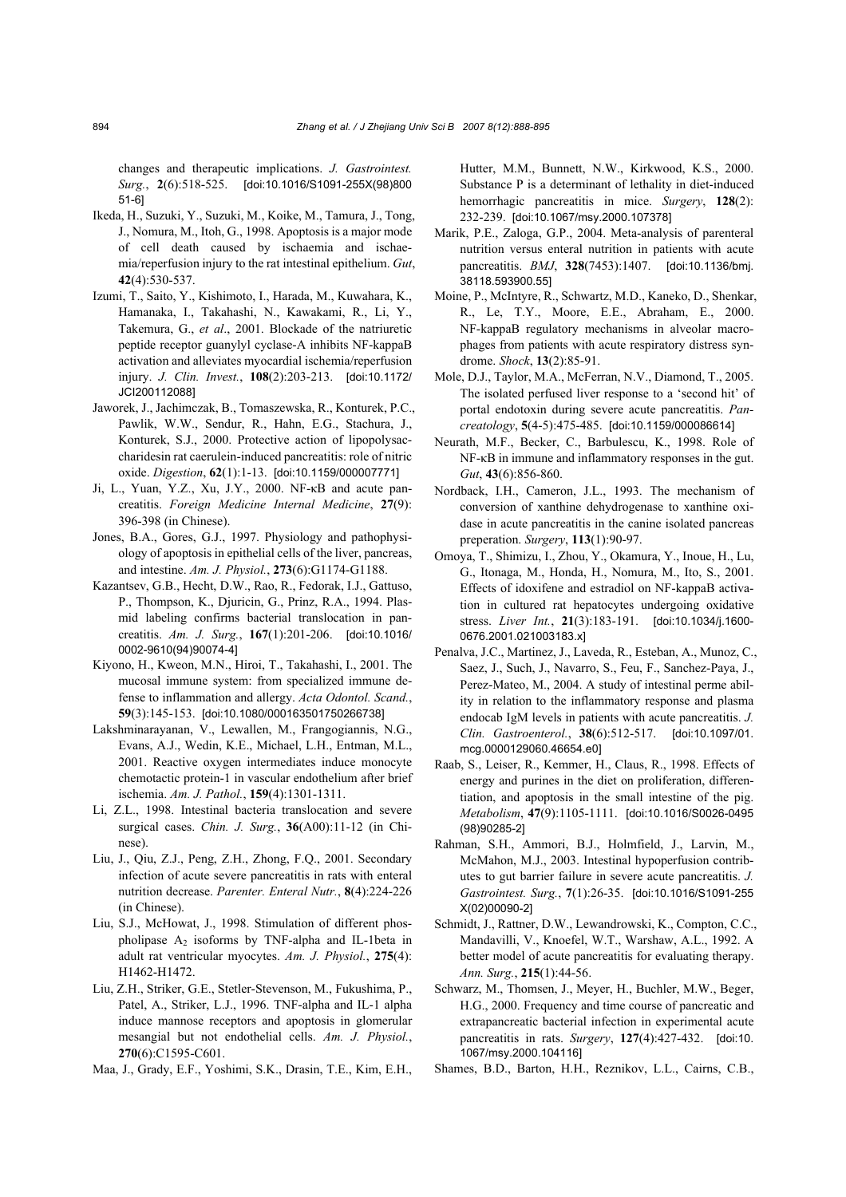changes and therapeutic implications. *J. Gastrointest. Surg.*, **2**(6):518-525. [doi:10.1016/S1091-255X(98)800 51-6]

- Ikeda, H., Suzuki, Y., Suzuki, M., Koike, M., Tamura, J., Tong, J., Nomura, M., Itoh, G., 1998. Apoptosis is a major mode of cell death caused by ischaemia and ischaemia/reperfusion injury to the rat intestinal epithelium. *Gut*, **42**(4):530-537.
- Izumi, T., Saito, Y., Kishimoto, I., Harada, M., Kuwahara, K., Hamanaka, I., Takahashi, N., Kawakami, R., Li, Y., Takemura, G., *et al*., 2001. Blockade of the natriuretic peptide receptor guanylyl cyclase-A inhibits NF-kappaB activation and alleviates myocardial ischemia/reperfusion injury. *J. Clin. Invest.*, **108**(2):203-213. [doi:10.1172/ JCI200112088]
- Jaworek, J., Jachimczak, B., Tomaszewska, R., Konturek, P.C., Pawlik, W.W., Sendur, R., Hahn, E.G., Stachura, J., Konturek, S.J., 2000. Protective action of lipopolysaccharidesin rat caerulein-induced pancreatitis: role of nitric oxide. *Digestion*, **62**(1):1-13. [doi:10.1159/000007771]
- Ji, L., Yuan, Y.Z., Xu, J.Y., 2000. NF-κB and acute pancreatitis. *Foreign Medicine Internal Medicine*, **27**(9): 396-398 (in Chinese).
- Jones, B.A., Gores, G.J., 1997. Physiology and pathophysiology of apoptosis in epithelial cells of the liver, pancreas, and intestine. *Am. J. Physiol.*, **273**(6):G1174-G1188.
- Kazantsev, G.B., Hecht, D.W., Rao, R., Fedorak, I.J., Gattuso, P., Thompson, K., Djuricin, G., Prinz, R.A., 1994. Plasmid labeling confirms bacterial translocation in pancreatitis. *Am. J. Surg.*, **167**(1):201-206. [doi:10.1016/ 0002-9610(94)90074-4]
- Kiyono, H., Kweon, M.N., Hiroi, T., Takahashi, I., 2001. The mucosal immune system: from specialized immune defense to inflammation and allergy. *Acta Odontol. Scand.*, **59**(3):145-153. [doi:10.1080/000163501750266738]
- Lakshminarayanan, V., Lewallen, M., Frangogiannis, N.G., Evans, A.J., Wedin, K.E., Michael, L.H., Entman, M.L., 2001. Reactive oxygen intermediates induce monocyte chemotactic protein-1 in vascular endothelium after brief ischemia. *Am. J. Pathol.*, **159**(4):1301-1311.
- Li, Z.L., 1998. Intestinal bacteria translocation and severe surgical cases. *Chin. J. Surg.*, **36**(A00):11-12 (in Chinese).
- Liu, J., Qiu, Z.J., Peng, Z.H., Zhong, F.Q., 2001. Secondary infection of acute severe pancreatitis in rats with enteral nutrition decrease. *Parenter. Enteral Nutr.*, **8**(4):224-226 (in Chinese).
- Liu, S.J., McHowat, J., 1998. Stimulation of different phospholipase  $A_2$  isoforms by TNF-alpha and IL-1beta in adult rat ventricular myocytes. *Am. J. Physiol.*, **275**(4): H1462-H1472.
- Liu, Z.H., Striker, G.E., Stetler-Stevenson, M., Fukushima, P., Patel, A., Striker, L.J., 1996. TNF-alpha and IL-1 alpha induce mannose receptors and apoptosis in glomerular mesangial but not endothelial cells. *Am. J. Physiol.*, **270**(6):C1595-C601.
- Maa, J., Grady, E.F., Yoshimi, S.K., Drasin, T.E., Kim, E.H.,

Hutter, M.M., Bunnett, N.W., Kirkwood, K.S., 2000. Substance P is a determinant of lethality in diet-induced hemorrhagic pancreatitis in mice. *Surgery*, **128**(2): 232-239. [doi:10.1067/msy.2000.107378]

- Marik, P.E., Zaloga, G.P., 2004. Meta-analysis of parenteral nutrition versus enteral nutrition in patients with acute pancreatitis. *BMJ*, **328**(7453):1407. [doi:10.1136/bmj. 38118.593900.55]
- Moine, P., McIntyre, R., Schwartz, M.D., Kaneko, D., Shenkar, R., Le, T.Y., Moore, E.E., Abraham, E., 2000. NF-kappaB regulatory mechanisms in alveolar macrophages from patients with acute respiratory distress syndrome. *Shock*, **13**(2):85-91.
- Mole, D.J., Taylor, M.A., McFerran, N.V., Diamond, T., 2005. The isolated perfused liver response to a 'second hit' of portal endotoxin during severe acute pancreatitis. *Pancreatology*, **5**(4-5):475-485. [doi:10.1159/000086614]
- Neurath, M.F., Becker, C., Barbulescu, K., 1998. Role of NF-κB in immune and inflammatory responses in the gut. *Gut*, **43**(6):856-860.
- Nordback, I.H., Cameron, J.L., 1993. The mechanism of conversion of xanthine dehydrogenase to xanthine oxidase in acute pancreatitis in the canine isolated pancreas preperation. *Surgery*, **113**(1):90-97.
- Omoya, T., Shimizu, I., Zhou, Y., Okamura, Y., Inoue, H., Lu, G., Itonaga, M., Honda, H., Nomura, M., Ito, S., 2001. Effects of idoxifene and estradiol on NF-kappaB activation in cultured rat hepatocytes undergoing oxidative stress. *Liver Int.*, **21**(3):183-191. [doi:10.1034/j.1600- 0676.2001.021003183.x]
- Penalva, J.C., Martinez, J., Laveda, R., Esteban, A., Munoz, C., Saez, J., Such, J., Navarro, S., Feu, F., Sanchez-Paya, J., Perez-Mateo, M., 2004. A study of intestinal perme ability in relation to the inflammatory response and plasma endocab IgM levels in patients with acute pancreatitis. *J. Clin. Gastroenterol.*, **38**(6):512-517. [doi:10.1097/01. mcg.0000129060.46654.e0]
- Raab, S., Leiser, R., Kemmer, H., Claus, R., 1998. Effects of energy and purines in the diet on proliferation, differentiation, and apoptosis in the small intestine of the pig. *Metabolism*, **47**(9):1105-1111. [doi:10.1016/S0026-0495 (98)90285-2]
- Rahman, S.H., Ammori, B.J., Holmfield, J., Larvin, M., McMahon, M.J., 2003. Intestinal hypoperfusion contributes to gut barrier failure in severe acute pancreatitis. *J. Gastrointest. Surg.*, **7**(1):26-35. [doi:10.1016/S1091-255 X(02)00090-2]
- Schmidt, J., Rattner, D.W., Lewandrowski, K., Compton, C.C., Mandavilli, V., Knoefel, W.T., Warshaw, A.L., 1992. A better model of acute pancreatitis for evaluating therapy. *Ann. Surg.*, **215**(1):44-56.
- Schwarz, M., Thomsen, J., Meyer, H., Buchler, M.W., Beger, H.G., 2000. Frequency and time course of pancreatic and extrapancreatic bacterial infection in experimental acute pancreatitis in rats. *Surgery*, **127**(4):427-432. [doi:10. 1067/msy.2000.104116]
- Shames, B.D., Barton, H.H., Reznikov, L.L., Cairns, C.B.,